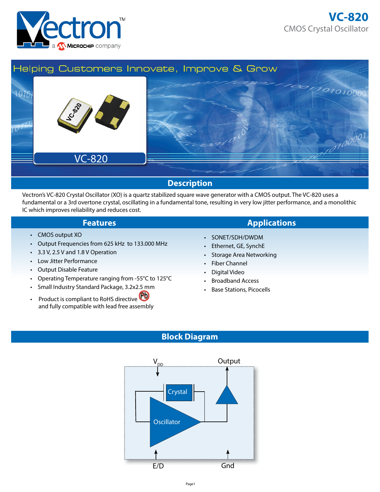



# **Description**

Vectron's VC-820 Crystal Oscillator (XO) is a quartz stabilized square wave generator with a CMOS output. The VC-820 uses a fundamental or a 3rd overtone crystal, oscillating in a fundamental tone, resulting in very low jitter performance, and a monolithic IC which improves reliability and reduces cost.

- CMOS output XO
- Output Frequencies from 625 kHz to 133.000 MHz
- 3.3 V, 2.5 V and 1.8 V Operation
- Low Jitter Performance
- Output Disable Feature
- Operating Temperature ranging from -55°C to 125°C
- Small Industry Standard Package, 3.2x2.5 mm
- Product is compliant to RoHS directive and fully compatible with lead free assembly

## **Features Applications**

- SONET/SDH/DWDM
- Ethernet, GE, SynchE
- Storage Area Networking
- Fiber Channel
- Digital Video
- Broadband Access
- Base Stations, Picocells

### **Block Diagram**

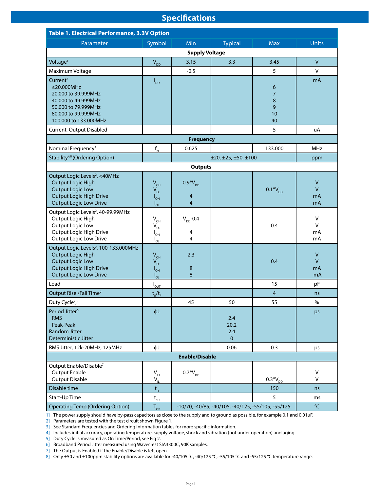### **Specifications**

| <b>Table 1. Electrical Performance, 3.3V Option</b>                                                                                                                         |                                                            |                                                          |                                    |                                           |                                    |  |
|-----------------------------------------------------------------------------------------------------------------------------------------------------------------------------|------------------------------------------------------------|----------------------------------------------------------|------------------------------------|-------------------------------------------|------------------------------------|--|
| Parameter                                                                                                                                                                   | Symbol                                                     | Min                                                      | <b>Typical</b>                     | <b>Max</b>                                | <b>Units</b>                       |  |
|                                                                                                                                                                             |                                                            | <b>Supply Voltage</b>                                    |                                    |                                           |                                    |  |
| Voltage <sup>1</sup>                                                                                                                                                        | $V_{DD}$                                                   | 3.15                                                     | 3.3                                | 3.45                                      | $\mathsf{V}$                       |  |
| Maximum Voltage                                                                                                                                                             |                                                            | $-0.5$                                                   |                                    | 5                                         | $\mathsf{V}$                       |  |
| Current <sup>2</sup><br>$\leq$ 20.000MHz<br>20.000 to 39.999MHz<br>40.000 to 49.999MHz<br>50,000 to 79.999MHz<br>80,000 to 99.999MHz<br>100.000 to 133.000MHz               | $I_{DD}$                                                   |                                                          |                                    | 6<br>$\overline{7}$<br>8<br>9<br>10<br>40 | mA                                 |  |
| Current, Output Disabled                                                                                                                                                    |                                                            |                                                          |                                    | 5                                         | uA                                 |  |
|                                                                                                                                                                             |                                                            | <b>Frequency</b>                                         |                                    |                                           |                                    |  |
| Nominal Frequency <sup>3</sup>                                                                                                                                              | $\mathsf{f}_{_{\sf N}}$                                    | 0.625                                                    |                                    | 133.000                                   | <b>MHz</b>                         |  |
| Stability <sup>4,8</sup> (Ordering Option)                                                                                                                                  |                                                            |                                                          | ±20, ±25, ±50, ±100                |                                           | ppm                                |  |
|                                                                                                                                                                             |                                                            | <b>Outputs</b>                                           |                                    |                                           |                                    |  |
| Output Logic Levels <sup>2</sup> , <40MHz<br><b>Output Logic High</b><br><b>Output Logic Low</b><br><b>Output Logic High Drive</b><br><b>Output Logic Low Drive</b>         | $V_{\text{OH}}$<br>$V_{OL}$<br>$I_{\text{OH}}$<br>$I_{OL}$ | $0.9*V_{DD}$<br>4<br>$\overline{4}$                      |                                    | $0.1*V_{DD}$                              | $\mathsf V$<br>$\vee$<br>mA<br>mA  |  |
| Output Logic Levels <sup>2</sup> , 40-99.99MHz<br>Output Logic High<br>Output Logic Low<br>Output Logic High Drive<br>Output Logic Low Drive                                | $V_{OH}$<br>$V_{OL}$<br>$I_{\text{OH}}$<br>$I_{OL}$        | $V_{DD}$ -0.4<br>4<br>4                                  |                                    | 0.4                                       | V<br>V<br>mA<br>mA                 |  |
| Output Logic Levels <sup>2</sup> , 100-133.000MHz<br><b>Output Logic High</b><br><b>Output Logic Low</b><br><b>Output Logic High Drive</b><br><b>Output Logic Low Drive</b> | $V_{OH}$<br>$V_{OL}$<br>$I_{\text{OH}}$<br>$I_{OL}$        | 2.3<br>8<br>8                                            |                                    | 0.4                                       | $\mathsf{V}$<br>$\vee$<br>mA<br>mA |  |
| Load                                                                                                                                                                        | $I_{\text{OUT}}$                                           |                                                          |                                    | 15                                        | pF                                 |  |
| Output Rise / Fall Time <sup>2</sup>                                                                                                                                        | $t_R/t_F$                                                  |                                                          |                                    | $\overline{\mathbf{4}}$                   | ns                                 |  |
| Duty Cycle <sup>2</sup> , <sup>5</sup>                                                                                                                                      |                                                            | 45                                                       | 50                                 | 55                                        | $\%$                               |  |
| Period Jitter <sup>6</sup><br><b>RMS</b><br>Peak-Peak<br><b>Random Jitter</b><br>Deterministic Jitter                                                                       | $\phi$ J                                                   |                                                          | 2.4<br>20.2<br>2.4<br>$\mathbf{0}$ |                                           | ps                                 |  |
| RMS Jitter, 12k-20MHz, 125MHz                                                                                                                                               | фJ                                                         |                                                          | 0.06                               | 0.3                                       | ps                                 |  |
|                                                                                                                                                                             |                                                            | <b>Enable/Disable</b>                                    |                                    |                                           |                                    |  |
| Output Enable/Disable <sup>7</sup><br><b>Output Enable</b><br><b>Output Disable</b>                                                                                         | $V_{\rm IH}$<br>$V_{IL}$                                   | $0.7*V_{DD}$                                             |                                    | $0.3*V_{DD}$                              | V<br>$\mathsf{V}$                  |  |
| Disable time                                                                                                                                                                | $\mathsf{t}_{\scriptscriptstyle\mathsf{D}}$                |                                                          |                                    | 150                                       | ns                                 |  |
| Start-Up Time                                                                                                                                                               | $t_{\underline{su}}$                                       |                                                          |                                    | 5                                         | ms                                 |  |
| <b>Operating Temp (Ordering Option)</b>                                                                                                                                     | $T_{OP}$                                                   | °C<br>-10/70, -40/85, -40/105, -40/125, -55/105, -55/125 |                                    |                                           |                                    |  |

1] The power supply should have by-pass capacitors as close to the supply and to ground as possible, for example 0.1 and 0.01uF.

2] Parameters are tested with the test circuit shown Figure 1.

3] See Standard Frequencies and Ordering Information tables for more specific information.

4] Includes initial accuracy, operating temperature, supply voltage, shock and vibration (not under operation) and aging.

5] Duty Cycle is measured as On Time/Period, see Fig 2.

6] Broadband Period Jitter measured using Wavecrest SIA3300C, 90K samples.

7] The Output is Enabled if the Enable/Disable is left open.

8] Only ±50 and ±100ppm stability options are available for -40/105 °C, -40/125 °C, -55/105 °C and -55/125 °C temperature range.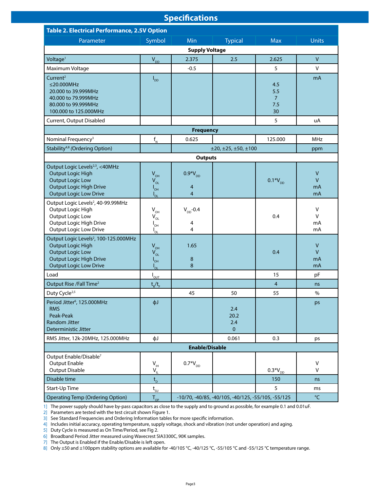#### **Specifications**

| <b>Table 2. Electrical Performance, 2.5V Option</b>                                                                                                                   |                                                                                              |                                                                                     |                                    |                                           |                               |  |
|-----------------------------------------------------------------------------------------------------------------------------------------------------------------------|----------------------------------------------------------------------------------------------|-------------------------------------------------------------------------------------|------------------------------------|-------------------------------------------|-------------------------------|--|
| Parameter                                                                                                                                                             | Symbol                                                                                       | Min                                                                                 | <b>Typical</b>                     | <b>Max</b>                                | <b>Units</b>                  |  |
|                                                                                                                                                                       |                                                                                              | <b>Supply Voltage</b>                                                               |                                    |                                           |                               |  |
| Voltage <sup>1</sup>                                                                                                                                                  | $V_{DD}$                                                                                     | 2.375                                                                               | 2.5                                | 2.625                                     | $\mathsf{V}$                  |  |
| Maximum Voltage                                                                                                                                                       |                                                                                              | $-0.5$                                                                              |                                    | 5                                         | $\vee$                        |  |
| Current <sup>2</sup><br>$\leq$ 20.000MHz<br>20.000 to 39.999MHz<br>40.000 to 79.999MHz<br>80.000 to 99.999MHz<br>100.000 to 125.000MHz                                | $I_{DD}$                                                                                     |                                                                                     |                                    | 4.5<br>5.5<br>$\overline{7}$<br>7.5<br>30 | mA                            |  |
| Current, Output Disabled                                                                                                                                              |                                                                                              |                                                                                     |                                    | 5                                         | uA                            |  |
|                                                                                                                                                                       |                                                                                              | <b>Frequency</b>                                                                    |                                    |                                           |                               |  |
| Nominal Frequency <sup>3</sup>                                                                                                                                        | $f_{N}$                                                                                      | 0.625                                                                               |                                    | 125.000                                   | <b>MHz</b>                    |  |
| Stability <sup>4,8</sup> (Ordering Option)                                                                                                                            |                                                                                              |                                                                                     | ±20, ±25, ±50, ±100                |                                           | ppm                           |  |
|                                                                                                                                                                       |                                                                                              | <b>Outputs</b>                                                                      |                                    |                                           |                               |  |
| Output Logic Levels <sup>2,3</sup> , <40MHz<br><b>Output Logic High</b><br><b>Output Logic Low</b><br><b>Output Logic High Drive</b><br><b>Output Logic Low Drive</b> | $V_{OH}$<br>$V_{OL}$<br>$I_{\text{OH}}$<br>$I_{OL}$                                          | $0.9*V_{DD}$<br>$\overline{4}$<br>$\overline{4}$                                    |                                    | $0.1*V_{DD}$                              | $\vee$<br>$\vee$<br>mA<br>mA  |  |
| Output Logic Levels <sup>2</sup> , 40-99.99MHz<br>Output Logic High<br>Output Logic Low<br>Output Logic High Drive<br><b>Output Logic Low Drive</b>                   | $\mathsf{V}_{\mathsf{OH}}$<br>$\mathsf{V}_{\mathsf{OL}}$<br>$I_{\text{OH}}$<br>$I_{\circ L}$ | $V_{DD}$ -0.4<br>4<br>4                                                             |                                    | 0.4                                       | V<br>$\vee$<br>mA<br>mA       |  |
| Output Logic Levels <sup>2</sup> , 100-125.000MHz<br>Output Logic High<br><b>Output Logic Low</b><br>Output Logic High Drive<br><b>Output Logic Low Drive</b>         | $V_{OH}$<br>$V_{OL}$<br>$I_{\text{OH}}$<br>$I_{OL}$                                          | 1.65<br>$\bf 8$<br>8                                                                |                                    | 0.4                                       | $\sf V$<br>$\vee$<br>mA<br>mA |  |
| Load                                                                                                                                                                  | $I_{\text{OUT}}$                                                                             |                                                                                     |                                    | 15                                        | pF                            |  |
| Output Rise / Fall Time <sup>2</sup>                                                                                                                                  | $t_R/t_F$                                                                                    |                                                                                     |                                    | $\overline{4}$                            | ns                            |  |
| Duty Cycle <sup>2,5</sup>                                                                                                                                             |                                                                                              | 45                                                                                  | 50                                 | 55                                        | $\%$                          |  |
| Period Jitter <sup>6</sup> , 125.000MHz<br>rms<br>Peak-Peak<br>Random Jitter<br>Deterministic Jitter                                                                  | $\phi$ J                                                                                     |                                                                                     | 2.4<br>20.2<br>2.4<br>$\mathbf{0}$ |                                           | ps                            |  |
| RMS Jitter, 12k-20MHz, 125.000MHz                                                                                                                                     | фJ                                                                                           |                                                                                     | 0.061                              | 0.3                                       | ps                            |  |
|                                                                                                                                                                       |                                                                                              | <b>Enable/Disable</b>                                                               |                                    |                                           |                               |  |
| Output Enable/Disable <sup>7</sup><br><b>Output Enable</b><br><b>Output Disable</b>                                                                                   | $V_{\rm{H}}$<br>$V_{\parallel}$                                                              | $0.7*V_{DD}$                                                                        |                                    | $0.3*V_{DD}$                              | V<br>V                        |  |
| Disable time                                                                                                                                                          | $t_{\rm D}$                                                                                  |                                                                                     |                                    | 150                                       | ns                            |  |
| Start-Up Time                                                                                                                                                         | $t_{\rm SU}$                                                                                 |                                                                                     |                                    | 5                                         | ms                            |  |
| <b>Operating Temp (Ordering Option)</b>                                                                                                                               | $T_{op}$                                                                                     | $^{\circ}$ C<br>$-10/70$ , $-40/85$ , $-40/105$ , $-40/125$ , $-55/105$ , $-55/125$ |                                    |                                           |                               |  |

1] The power supply should have by-pass capacitors as close to the supply and to ground as possible, for example 0.1 and 0.01uF.

2] Parameters are tested with the test circuit shown Figure 1.

3] See Standard Frequencies and Ordering Information tables for more specific information.

4] Includes initial accuracy, operating temperature, supply voltage, shock and vibration (not under operation) and aging.

5] Duty Cycle is measured as On Time/Period, see Fig 2.

6] Broadband Period Jitter measured using Wavecrest SIA3300C, 90K samples.

7] The Output is Enabled if the Enable/Disable is left open.

8] Only ±50 and ±100ppm stability options are available for -40/105 °C, -40/125 °C, -55/105 °C and -55/125 °C temperature range.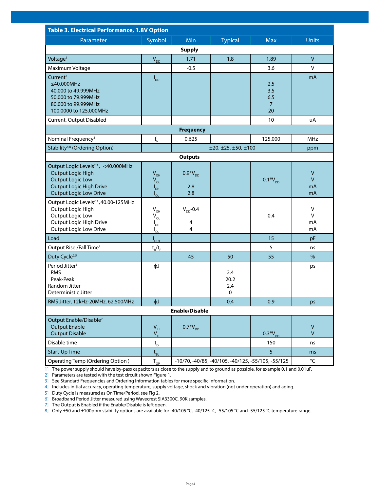| <b>Table 3. Electrical Performance, 1.8V Option</b>                                                                                                                       |                                                                              |                                                                           |                         |                                           |                                    |  |
|---------------------------------------------------------------------------------------------------------------------------------------------------------------------------|------------------------------------------------------------------------------|---------------------------------------------------------------------------|-------------------------|-------------------------------------------|------------------------------------|--|
| Parameter                                                                                                                                                                 | Symbol                                                                       | Min                                                                       | <b>Typical</b>          | <b>Max</b>                                | <b>Units</b>                       |  |
|                                                                                                                                                                           |                                                                              | <b>Supply</b>                                                             |                         |                                           |                                    |  |
| Voltage <sup>1</sup>                                                                                                                                                      | $V_{DD}$                                                                     | 1.71                                                                      | 1.8                     | 1.89                                      | $\mathsf{V}$                       |  |
| Maximum Voltage                                                                                                                                                           |                                                                              | $-0.5$                                                                    |                         | 3.6                                       | V                                  |  |
| Current <sup>2</sup><br>$\leq$ 40.000MHz<br>40.000 to 49.999MHz<br>50.000 to 79.999MHz<br>80.000 to 99.999MHz<br>100.0000 to 125.000MHz                                   | $I_{DD}$                                                                     |                                                                           |                         | 2.5<br>3.5<br>6.5<br>$\overline{7}$<br>20 | mA                                 |  |
| Current, Output Disabled                                                                                                                                                  |                                                                              |                                                                           |                         | 10                                        | uA                                 |  |
|                                                                                                                                                                           |                                                                              | <b>Frequency</b>                                                          |                         |                                           |                                    |  |
| Nominal Frequency <sup>3</sup>                                                                                                                                            | $\mathsf{f}_{_{\sf N}}$                                                      | 0.625                                                                     |                         | 125.000                                   | MHz                                |  |
| Stability <sup>4,8</sup> (Ordering Option)                                                                                                                                | ±20, ±25, ±50, ±100                                                          |                                                                           |                         |                                           |                                    |  |
|                                                                                                                                                                           |                                                                              | <b>Outputs</b>                                                            |                         |                                           |                                    |  |
| Output Logic Levels <sup>2,3</sup> , <40.000MHz<br><b>Output Logic High</b><br><b>Output Logic Low</b><br><b>Output Logic High Drive</b><br><b>Output Logic Low Drive</b> | $V_{OH}$<br>$V_{OL}$<br>$I_{\text{OH}}$<br>$I_{OL}$                          | $0.9*V_{DD}$<br>2.8<br>2.8                                                |                         | $0.1*V_{DD}$                              | $\vee$<br>$\mathsf{V}$<br>mA<br>mA |  |
| Output Logic Levels <sup>2,3</sup> , 40.00-125MHz<br>Output Logic High<br>Output Logic Low<br>Output Logic High Drive<br><b>Output Logic Low Drive</b>                    | $V_{\text{OH}}$<br>$\mathsf{V}_{\mathsf{OL}}$<br>$I_{\text{OH}}$<br>$I_{OL}$ | $V_{DD}$ -0.4<br>$\overline{\mathcal{A}}$<br>4                            |                         | 0.4                                       | V<br>V<br>mA<br>mA                 |  |
| Load                                                                                                                                                                      | $I_{\text{OUT}}$                                                             |                                                                           |                         | 15                                        | pF                                 |  |
| Output Rise /Fall Time <sup>2</sup>                                                                                                                                       | $t_{R}/t_{F}$                                                                |                                                                           |                         | 5                                         | ns                                 |  |
| Duty Cycle <sup>2,5</sup>                                                                                                                                                 |                                                                              | 45                                                                        | 50                      | 55                                        | $\%$                               |  |
| Period Jitter <sup>6</sup><br><b>RMS</b><br>Peak-Peak<br>Random Jitter<br>Deterministic Jitter                                                                            | фJ                                                                           |                                                                           | 2.4<br>20.2<br>2.4<br>0 |                                           | ps                                 |  |
| RMS Jitter, 12kHz-20MHz, 62.500MHz                                                                                                                                        | фJ                                                                           |                                                                           | 0.4                     | 0.9                                       | ps                                 |  |
|                                                                                                                                                                           |                                                                              | <b>Enable/Disable</b>                                                     |                         |                                           |                                    |  |
| Output Enable/Disable <sup>7</sup><br><b>Output Enable</b><br><b>Output Disable</b>                                                                                       | $\mathsf{V}_{\scriptscriptstyle\mathsf{IH}}$<br>$V_{\parallel}$              | $0.7*V_{DD}$                                                              |                         | $0.3*V_{DD}$                              | $\mathsf{V}$<br>$\mathsf{V}$       |  |
| Disable time                                                                                                                                                              | $\mathsf{t}_{\scriptscriptstyle\mathsf{D}}$                                  |                                                                           |                         | 150                                       | ns                                 |  |
| <b>Start-Up Time</b>                                                                                                                                                      | $t_{\rm SU}$                                                                 |                                                                           |                         | 5                                         | ms                                 |  |
| Operating Temp (Ordering Option)                                                                                                                                          | $T_{OP}$                                                                     | °C<br>$-10/70$ , $-40/85$ , $-40/105$ , $-40/125$ , $-55/105$ , $-55/125$ |                         |                                           |                                    |  |

1] The power supply should have by-pass capacitors as close to the supply and to ground as possible, for example 0.1 and 0.01uF.

2] Parameters are tested with the test circuit shown Figure 1.

3] See Standard Frequencies and Ordering Information tables for more specific information.

4] Includes initial accuracy, operating temperature, supply voltage, shock and vibration (not under operation) and aging.

5] Duty Cycle is measured as On Time/Period, see Fig 2.

6] Broadband Period Jitter measured using Wavecrest SIA3300C, 90K samples.

7] The Output is Enabled if the Enable/Disable is left open.

8] Only ±50 and ±100ppm stability options are available for -40/105 °C, -40/125 °C, -55/105 °C and -55/125 °C temperature range.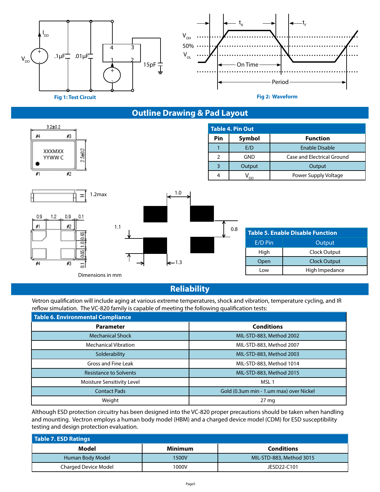

# **Outline Drawing & Pad Layout**



**Reliability**

Vetron qualification will include aging at various extreme temperatures, shock and vibration, temperature cycling, and IR<br>reflow simulation. The VC 820 family is canable of meeting the following qualification tests: reflow simulation. The VC-820 family is capable of meeting the following qualification tests:

| Table 6. Environmental Compliance |                                         |  |  |  |  |  |  |  |
|-----------------------------------|-----------------------------------------|--|--|--|--|--|--|--|
| <b>Parameter</b>                  | <b>Conditions</b>                       |  |  |  |  |  |  |  |
| <b>Mechanical Shock</b>           | MIL-STD-883, Method 2002                |  |  |  |  |  |  |  |
| Mechanical Vibration              | MIL-STD-883, Method 2007                |  |  |  |  |  |  |  |
| Solderability                     | MIL-STD-883, Method 2003                |  |  |  |  |  |  |  |
| Gross and Fine Leak               | MIL-STD-883, Method 1014                |  |  |  |  |  |  |  |
| <b>Resistance to Solvents</b>     | MIL-STD-883, Method 2015                |  |  |  |  |  |  |  |
| Moisture Sensitivity Level        | MSL <sub>1</sub>                        |  |  |  |  |  |  |  |
| <b>Contact Pads</b>               | Gold (0.3um min - 1.um max) over Nickel |  |  |  |  |  |  |  |
| Weight                            | $27 \text{ mg}$                         |  |  |  |  |  |  |  |

Although ESD protection circuitry has been designed into the VC-820 proper precautions should be taken when handling and mounting. Vectron employs a human body model (HBM) and a charged device model (CDM) for ESD susceptibility testing and design protection evaluation.

| Table 7. ESD Ratings        |         |                          |  |  |  |  |
|-----------------------------|---------|--------------------------|--|--|--|--|
| Model                       | Minimum | <b>Conditions</b>        |  |  |  |  |
| Human Body Model            | 1500V   | MIL-STD-883, Method 3015 |  |  |  |  |
| <b>Charged Device Model</b> | 1000V   | JESD22-C101              |  |  |  |  |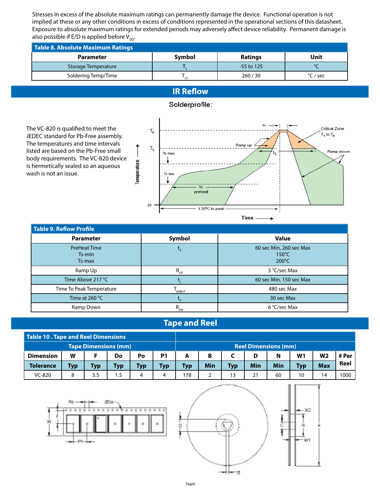Stresses in excess of the absolute maximum ratings can permanently damage the device. Functional operation is not implied at these or any other conditions in excess of conditions represented in the operational sections of this datasheet. Exposure to absolute maximum ratings for extended periods may adversely affect device reliability. Permanent damage is also possible if E/D is applied before  $V_{\text{DD}}$ .

| <b>Table 8. Absolute Maximum Ratings</b> |               |                |             |  |  |  |  |
|------------------------------------------|---------------|----------------|-------------|--|--|--|--|
| <b>Parameter</b>                         | <b>Symbol</b> | <b>Ratings</b> | <b>Unit</b> |  |  |  |  |
| Storage Temperature                      |               | $-55$ to 125   |             |  |  |  |  |
| Soldering Temp/Time                      |               | 260/30         | °C / sec    |  |  |  |  |

## **IR Reflow**



Solderprofile:

JEDEC standard for Pb-Free assembly. The temperatures and time intervals listed are based on the Pb-Free small body requirements. The VC-820 device is hermetically sealed so an aqueous wash is not an issue.



| Table 9. Reflow Profile                 |             |                                                               |
|-----------------------------------------|-------------|---------------------------------------------------------------|
| <b>Parameter</b>                        | Symbol      | <b>Value</b>                                                  |
| <b>PreHeat Time</b><br>Ts-min<br>Ts-max |             | 60 sec Min, 260 sec Max<br>$150^{\circ}$ C<br>$200^{\circ}$ C |
| Ramp Up                                 | $R_{_{UP}}$ | 3 °C/sec Max                                                  |
| Time Above 217 °C                       |             | 60 sec Min, 150 sec Max                                       |
| Time To Peak Temperature                | AMB-P       | 480 sec Max                                                   |
| Time at 260 $^{\circ}$ C                |             | 30 sec Max                                                    |
| Ramp Down                               | $R_{_{DN}}$ | 6 °C/sec Max                                                  |

## **Tape and Reel**

| Table 10 . Tape and Reel Dimensions |            |     |            |            |     |                             |            |            |     |     |                |                |       |
|-------------------------------------|------------|-----|------------|------------|-----|-----------------------------|------------|------------|-----|-----|----------------|----------------|-------|
| <b>Tape Dimensions (mm)</b>         |            |     |            |            |     | <b>Reel Dimensions (mm)</b> |            |            |     |     |                |                |       |
| <b>Dimension</b>                    | W          |     | Do         | Po         | P1  |                             | B          |            | D   | N   | W <sub>1</sub> | W <sub>2</sub> | # Per |
| <b>Tolerance</b>                    | <b>Typ</b> | Typ | <b>Typ</b> | <b>Typ</b> | Typ | Typ                         | <b>Min</b> | <b>Typ</b> | Min | Min | <b>Typ</b>     | <b>Max</b>     | Reel  |
| VC-820                              |            | 3.5 | 5. ا       | 4          | 4   | 178                         |            |            | 21  | 60  | 10             | 14             | 1000  |



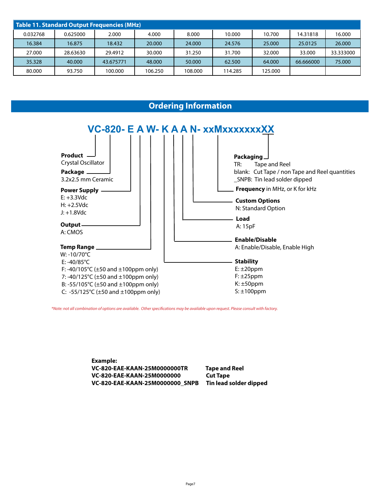| Table 11. Standard Output Frequencies (MHz) |          |           |         |         |         |         |           |           |
|---------------------------------------------|----------|-----------|---------|---------|---------|---------|-----------|-----------|
| 0.032768                                    | 0.625000 | 2.000     | 4.000   | 8.000   | 10.000  | 10.700  | 14.31818  | 16.000    |
| 16.384                                      | 16.875   | 18.432    | 20,000  | 24.000  | 24.576  | 25,000  | 25.0125   | 26,000    |
| 27.000                                      | 28.63630 | 29.4912   | 30.000  | 31.250  | 31.700  | 32.000  | 33,000    | 33.333000 |
| 35.328                                      | 40.000   | 43.675771 | 48,000  | 50.000  | 62.500  | 64,000  | 66.666000 | 75,000    |
| 80.000                                      | 93.750   | 100.000   | 106.250 | 108.000 | 114.285 | 125.000 |           |           |

### **Ordering Information**



\*Note: not all combination of options are available. Other specifi cations may be available upon request. Please consult with factory.

**Example: VC-820-EAE-KAAN-25M0000000TR Tape and Reel VC-820-EAE-KAAN-25M0000000 Cut Tape VC-820-EAE-KAAN-25M0000000\_SNPB Tin lead solder dipped**